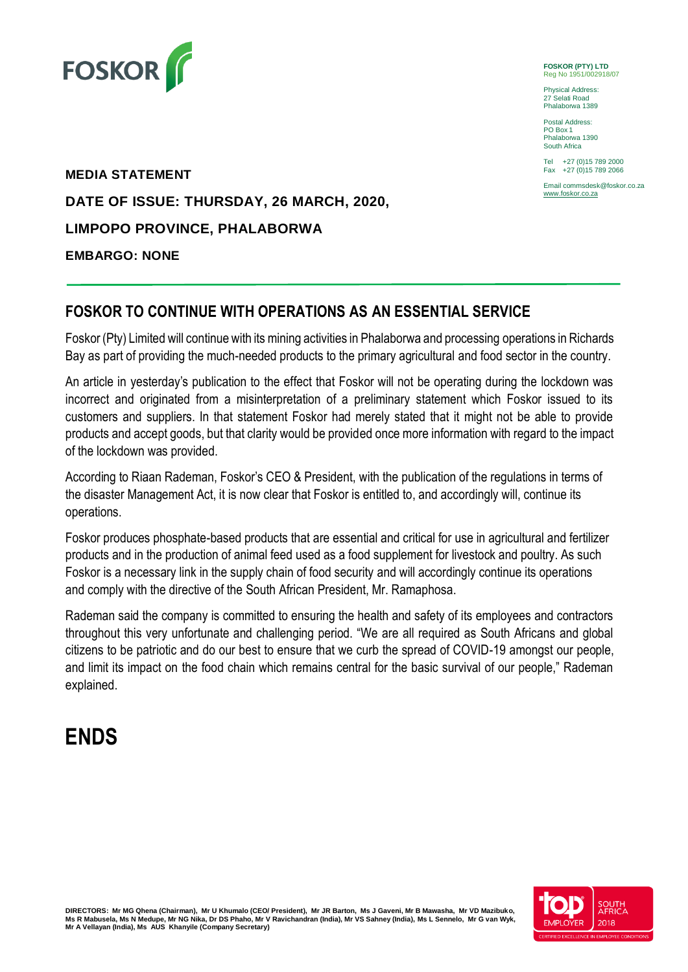

**FOSKOR (PTY) LTD** Reg No 1951/002918/07

Physical Address: 27 Selati Road Phalaborwa 1389

Postal Address: PO Box 1 Phalaborwa 1390 South Africa

Tel +27 (0)15 789 2000 Fax +27 (0)15 789 2066

Email commsdesk@foskor.co.za [www.foskor.co.za](http://www.foskor.co.za/)

**MEDIA STATEMENT DATE OF ISSUE: THURSDAY, 26 MARCH, 2020, LIMPOPO PROVINCE, PHALABORWA EMBARGO: NONE** 

## **FOSKOR TO CONTINUE WITH OPERATIONS AS AN ESSENTIAL SERVICE**

Foskor (Pty) Limited will continue with its mining activities in Phalaborwa and processing operations in Richards Bay as part of providing the much-needed products to the primary agricultural and food sector in the country.

An article in yesterday's publication to the effect that Foskor will not be operating during the lockdown was incorrect and originated from a misinterpretation of a preliminary statement which Foskor issued to its customers and suppliers. In that statement Foskor had merely stated that it might not be able to provide products and accept goods, but that clarity would be provided once more information with regard to the impact of the lockdown was provided.

According to Riaan Rademan, Foskor's CEO & President, with the publication of the regulations in terms of the disaster Management Act, it is now clear that Foskor is entitled to, and accordingly will, continue its operations.

Foskor produces phosphate-based products that are essential and critical for use in agricultural and fertilizer products and in the production of animal feed used as a food supplement for livestock and poultry. As such Foskor is a necessary link in the supply chain of food security and will accordingly continue its operations and comply with the directive of the South African President, Mr. Ramaphosa.

Rademan said the company is committed to ensuring the health and safety of its employees and contractors throughout this very unfortunate and challenging period. "We are all required as South Africans and global citizens to be patriotic and do our best to ensure that we curb the spread of COVID-19 amongst our people, and limit its impact on the food chain which remains central for the basic survival of our people," Rademan explained.

## **ENDS**